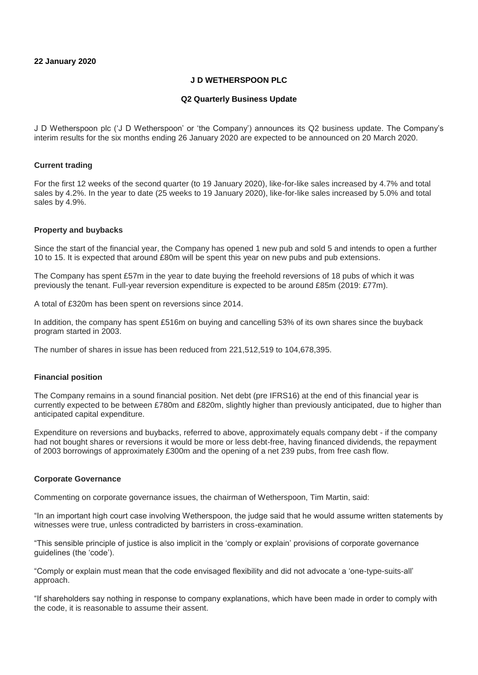### **22 January 2020**

# **J D WETHERSPOON PLC**

### **Q2 Quarterly Business Update**

J D Wetherspoon plc ('J D Wetherspoon' or 'the Company') announces its Q2 business update. The Company's interim results for the six months ending 26 January 2020 are expected to be announced on 20 March 2020.

### **Current trading**

For the first 12 weeks of the second quarter (to 19 January 2020), like-for-like sales increased by 4.7% and total sales by 4.2%. In the year to date (25 weeks to 19 January 2020), like-for-like sales increased by 5.0% and total sales by 4.9%.

### **Property and buybacks**

Since the start of the financial year, the Company has opened 1 new pub and sold 5 and intends to open a further 10 to 15. It is expected that around £80m will be spent this year on new pubs and pub extensions.

The Company has spent £57m in the year to date buying the freehold reversions of 18 pubs of which it was previously the tenant. Full-year reversion expenditure is expected to be around £85m (2019: £77m).

A total of £320m has been spent on reversions since 2014.

In addition, the company has spent £516m on buying and cancelling 53% of its own shares since the buyback program started in 2003.

The number of shares in issue has been reduced from 221,512,519 to 104,678,395.

### **Financial position**

The Company remains in a sound financial position. Net debt (pre IFRS16) at the end of this financial year is currently expected to be between £780m and £820m, slightly higher than previously anticipated, due to higher than anticipated capital expenditure.

Expenditure on reversions and buybacks, referred to above, approximately equals company debt - if the company had not bought shares or reversions it would be more or less debt-free, having financed dividends, the repayment of 2003 borrowings of approximately £300m and the opening of a net 239 pubs, from free cash flow.

### **Corporate Governance**

Commenting on corporate governance issues, the chairman of Wetherspoon, Tim Martin, said:

"In an important high court case involving Wetherspoon, the judge said that he would assume written statements by witnesses were true, unless contradicted by barristers in cross-examination.

"This sensible principle of justice is also implicit in the 'comply or explain' provisions of corporate governance guidelines (the 'code').

"Comply or explain must mean that the code envisaged flexibility and did not advocate a 'one-type-suits-all' approach.

"If shareholders say nothing in response to company explanations, which have been made in order to comply with the code, it is reasonable to assume their assent.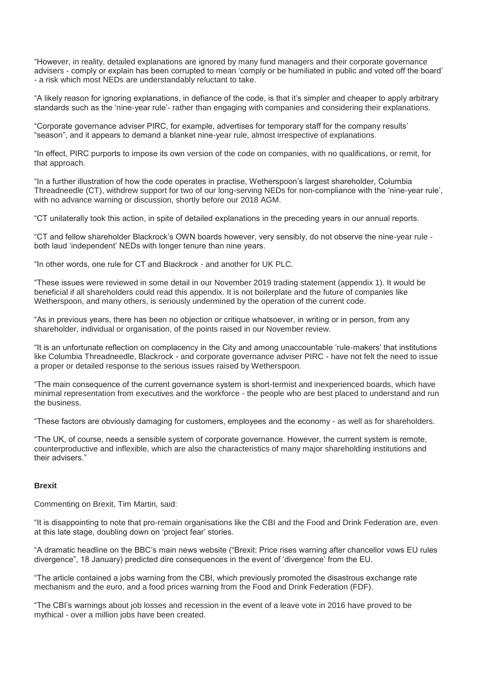"However, in reality, detailed explanations are ignored by many fund managers and their corporate governance advisers - comply or explain has been corrupted to mean 'comply or be humiliated in public and voted off the board' - a risk which most NEDs are understandably reluctant to take.

"A likely reason for ignoring explanations, in defiance of the code, is that it's simpler and cheaper to apply arbitrary standards such as the 'nine-year rule'- rather than engaging with companies and considering their explanations.

"Corporate governance adviser PIRC, for example, advertises for temporary staff for the company results' "season", and it appears to demand a blanket nine-year rule, almost irrespective of explanations.

"In effect, PIRC purports to impose its own version of the code on companies, with no qualifications, or remit, for that approach.

"In a further illustration of how the code operates in practise, Wetherspoon's largest shareholder, Columbia Threadneedle (CT), withdrew support for two of our long-serving NEDs for non-compliance with the 'nine-year rule', with no advance warning or discussion, shortly before our 2018 AGM.

"CT unilaterally took this action, in spite of detailed explanations in the preceding years in our annual reports.

"CT and fellow shareholder Blackrock's OWN boards however, very sensibly, do not observe the nine-year rule both laud 'independent' NEDs with longer tenure than nine years.

"In other words, one rule for CT and Blackrock - and another for UK PLC.

"These issues were reviewed in some detail in our November 2019 trading statement (appendix 1). It would be beneficial if all shareholders could read this appendix. It is not boilerplate and the future of companies like Wetherspoon, and many others, is seriously undermined by the operation of the current code.

"As in previous years, there has been no objection or critique whatsoever, in writing or in person, from any shareholder, individual or organisation, of the points raised in our November review.

"It is an unfortunate reflection on complacency in the City and among unaccountable 'rule-makers' that institutions like Columbia Threadneedle, Blackrock - and corporate governance adviser PIRC - have not felt the need to issue a proper or detailed response to the serious issues raised by Wetherspoon.

"The main consequence of the current governance system is short-termist and inexperienced boards, which have minimal representation from executives and the workforce - the people who are best placed to understand and run the business.

"These factors are obviously damaging for customers, employees and the economy - as well as for shareholders.

"The UK, of course, needs a sensible system of corporate governance. However, the current system is remote, counterproductive and inflexible, which are also the characteristics of many major shareholding institutions and their advisers."

### **Brexit**

Commenting on Brexit, Tim Martin, said:

"It is disappointing to note that pro-remain organisations like the CBI and the Food and Drink Federation are, even at this late stage, doubling down on 'project fear' stories.

"A dramatic headline on the BBC's main news website ("Brexit: Price rises warning after chancellor vows EU rules divergence", 18 January) predicted dire consequences in the event of 'divergence' from the EU.

"The article contained a jobs warning from the CBI, which previously promoted the disastrous exchange rate mechanism and the euro, and a food prices warning from the Food and Drink Federation (FDF).

"The CBI's warnings about job losses and recession in the event of a leave vote in 2016 have proved to be mythical - over a million jobs have been created.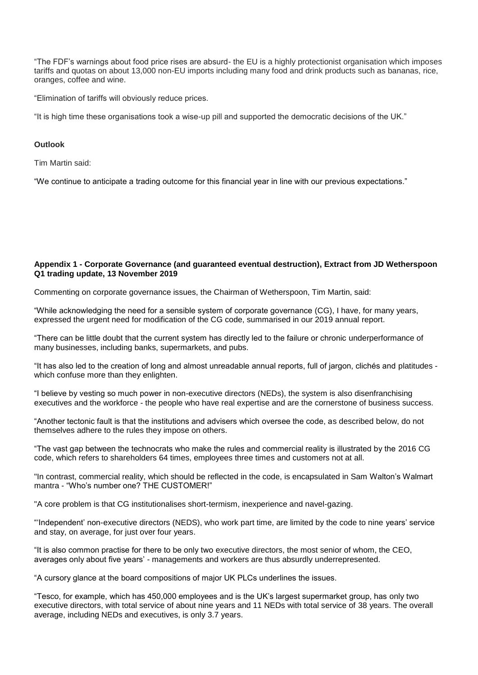"The FDF's warnings about food price rises are absurd- the EU is a highly protectionist organisation which imposes tariffs and quotas on about 13,000 non-EU imports including many food and drink products such as bananas, rice, oranges, coffee and wine.

"Elimination of tariffs will obviously reduce prices.

"It is high time these organisations took a wise-up pill and supported the democratic decisions of the UK."

## **Outlook**

Tim Martin said:

"We continue to anticipate a trading outcome for this financial year in line with our previous expectations."

## **Appendix 1 - Corporate Governance (and guaranteed eventual destruction), Extract from JD Wetherspoon Q1 trading update, 13 November 2019**

Commenting on corporate governance issues, the Chairman of Wetherspoon, Tim Martin, said:

"While acknowledging the need for a sensible system of corporate governance (CG), I have, for many years, expressed the urgent need for modification of the CG code, summarised in our 2019 annual report.

"There can be little doubt that the current system has directly led to the failure or chronic underperformance of many businesses, including banks, supermarkets, and pubs.

"It has also led to the creation of long and almost unreadable annual reports, full of jargon, clichés and platitudes which confuse more than they enlighten.

"I believe by vesting so much power in non-executive directors (NEDs), the system is also disenfranchising executives and the workforce - the people who have real expertise and are the cornerstone of business success.

"Another tectonic fault is that the institutions and advisers which oversee the code, as described below, do not themselves adhere to the rules they impose on others.

"The vast gap between the technocrats who make the rules and commercial reality is illustrated by the 2016 CG code, which refers to shareholders 64 times, employees three times and customers not at all.

"In contrast, commercial reality, which should be reflected in the code, is encapsulated in Sam Walton's Walmart mantra - "Who's number one? THE CUSTOMER!"

"A core problem is that CG institutionalises short-termism, inexperience and navel-gazing.

"'Independent' non-executive directors (NEDS), who work part time, are limited by the code to nine years' service and stay, on average, for just over four years.

"It is also common practise for there to be only two executive directors, the most senior of whom, the CEO, averages only about five years' - managements and workers are thus absurdly underrepresented.

"A cursory glance at the board compositions of major UK PLCs underlines the issues.

"Tesco, for example, which has 450,000 employees and is the UK's largest supermarket group, has only two executive directors, with total service of about nine years and 11 NEDs with total service of 38 years. The overall average, including NEDs and executives, is only 3.7 years.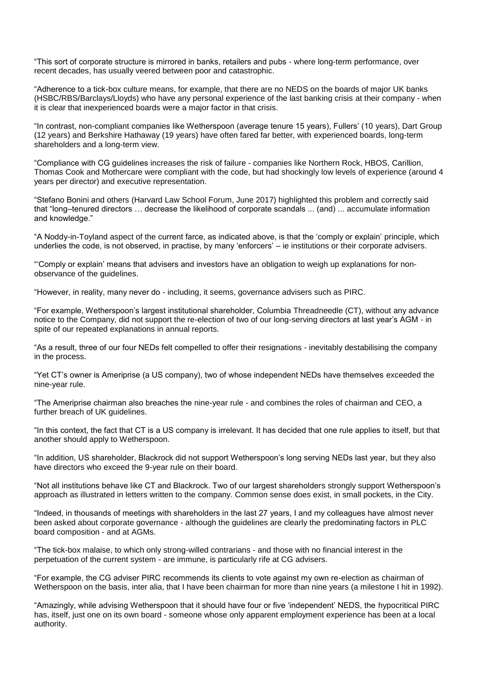"This sort of corporate structure is mirrored in banks, retailers and pubs - where long-term performance, over recent decades, has usually veered between poor and catastrophic.

"Adherence to a tick-box culture means, for example, that there are no NEDS on the boards of major UK banks (HSBC/RBS/Barclays/Lloyds) who have any personal experience of the last banking crisis at their company - when it is clear that inexperienced boards were a major factor in that crisis.

"In contrast, non-compliant companies like Wetherspoon (average tenure 15 years), Fullers' (10 years), Dart Group (12 years) and Berkshire Hathaway (19 years) have often fared far better, with experienced boards, long-term shareholders and a long-term view.

"Compliance with CG guidelines increases the risk of failure - companies like Northern Rock, HBOS, Carillion, Thomas Cook and Mothercare were compliant with the code, but had shockingly low levels of experience (around 4 years per director) and executive representation.

"Stefano Bonini and others (Harvard Law School Forum, June 2017) highlighted this problem and correctly said that "long–tenured directors … decrease the likelihood of corporate scandals ... (and) ... accumulate information and knowledge."

"A Noddy-in-Toyland aspect of the current farce, as indicated above, is that the 'comply or explain' principle, which underlies the code, is not observed, in practise, by many 'enforcers' – ie institutions or their corporate advisers.

"'Comply or explain' means that advisers and investors have an obligation to weigh up explanations for nonobservance of the guidelines.

"However, in reality, many never do - including, it seems, governance advisers such as PIRC.

"For example, Wetherspoon's largest institutional shareholder, Columbia Threadneedle (CT), without any advance notice to the Company, did not support the re-election of two of our long-serving directors at last year's AGM - in spite of our repeated explanations in annual reports.

"As a result, three of our four NEDs felt compelled to offer their resignations - inevitably destabilising the company in the process.

"Yet CT's owner is Ameriprise (a US company), two of whose independent NEDs have themselves exceeded the nine-year rule.

"The Ameriprise chairman also breaches the nine-year rule - and combines the roles of chairman and CEO, a further breach of UK guidelines.

"In this context, the fact that CT is a US company is irrelevant. It has decided that one rule applies to itself, but that another should apply to Wetherspoon.

"In addition, US shareholder, Blackrock did not support Wetherspoon's long serving NEDs last year, but they also have directors who exceed the 9-year rule on their board.

"Not all institutions behave like CT and Blackrock. Two of our largest shareholders strongly support Wetherspoon's approach as illustrated in letters written to the company. Common sense does exist, in small pockets, in the City.

"Indeed, in thousands of meetings with shareholders in the last 27 years, I and my colleagues have almost never been asked about corporate governance - although the guidelines are clearly the predominating factors in PLC board composition - and at AGMs.

"The tick-box malaise, to which only strong-willed contrarians - and those with no financial interest in the perpetuation of the current system - are immune, is particularly rife at CG advisers.

"For example, the CG adviser PIRC recommends its clients to vote against my own re-election as chairman of Wetherspoon on the basis, inter alia, that I have been chairman for more than nine years (a milestone I hit in 1992).

"Amazingly, while advising Wetherspoon that it should have four or five 'independent' NEDS, the hypocritical PIRC has, itself, just one on its own board - someone whose only apparent employment experience has been at a local authority.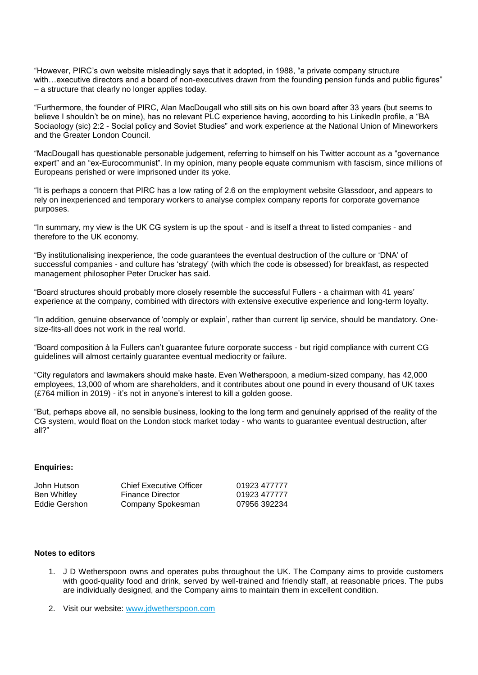"However, PIRC's own website misleadingly says that it adopted, in 1988, "a private company structure with…executive directors and a board of non-executives drawn from the founding pension funds and public figures" – a structure that clearly no longer applies today.

"Furthermore, the founder of PIRC, Alan MacDougall who still sits on his own board after 33 years (but seems to believe I shouldn't be on mine), has no relevant PLC experience having, according to his LinkedIn profile, a "BA Sociaology (sic) 2:2 - Social policy and Soviet Studies" and work experience at the National Union of Mineworkers and the Greater London Council.

"MacDougall has questionable personable judgement, referring to himself on his Twitter account as a "governance expert" and an "ex-Eurocommunist". In my opinion, many people equate communism with fascism, since millions of Europeans perished or were imprisoned under its yoke.

"It is perhaps a concern that PIRC has a low rating of 2.6 on the employment website Glassdoor, and appears to rely on inexperienced and temporary workers to analyse complex company reports for corporate governance purposes.

"In summary, my view is the UK CG system is up the spout - and is itself a threat to listed companies - and therefore to the UK economy.

"By institutionalising inexperience, the code guarantees the eventual destruction of the culture or 'DNA' of successful companies - and culture has 'strategy' (with which the code is obsessed) for breakfast, as respected management philosopher Peter Drucker has said.

"Board structures should probably more closely resemble the successful Fullers - a chairman with 41 years' experience at the company, combined with directors with extensive executive experience and long-term loyalty.

"In addition, genuine observance of 'comply or explain', rather than current lip service, should be mandatory. Onesize-fits-all does not work in the real world.

"Board composition à la Fullers can't guarantee future corporate success - but rigid compliance with current CG guidelines will almost certainly guarantee eventual mediocrity or failure.

"City regulators and lawmakers should make haste. Even Wetherspoon, a medium-sized company, has 42,000 employees, 13,000 of whom are shareholders, and it contributes about one pound in every thousand of UK taxes (£764 million in 2019) - it's not in anyone's interest to kill a golden goose.

"But, perhaps above all, no sensible business, looking to the long term and genuinely apprised of the reality of the CG system, would float on the London stock market today - who wants to guarantee eventual destruction, after all?"

### **Enquiries:**

| <b>Chief Executive Officer</b> | 01923 477777 |
|--------------------------------|--------------|
| Finance Director               | 01923 477777 |
| Company Spokesman              | 07956 392234 |
|                                |              |

#### **Notes to editors**

- 1. J D Wetherspoon owns and operates pubs throughout the UK. The Company aims to provide customers with good-quality food and drink, served by well-trained and friendly staff, at reasonable prices. The pubs are individually designed, and the Company aims to maintain them in excellent condition.
- 2. Visit our website: [www.jdwetherspoon.com](https://protect-eu.mimecast.com/s/eb03CBLMZIl3p9mCNcSBB?domain=jdwetherspoon.com)